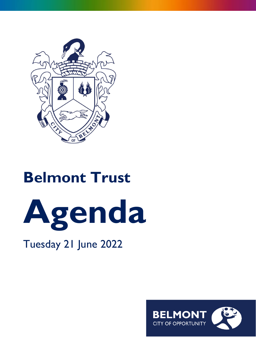

# **Belmont Trust**



# Tuesday 21 June 2022

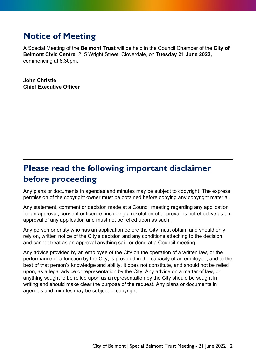# **Notice of Meeting**

A Special Meeting of the **Belmont Trust** will be held in the Council Chamber of the **City of Belmont Civic Centre**, 215 Wright Street, Cloverdale, on **Tuesday 21 June 2022,** commencing at 6.30pm.

**John Christie Chief Executive Officer**

# **Please read the following important disclaimer before proceeding**

Any plans or documents in agendas and minutes may be subject to copyright. The express permission of the copyright owner must be obtained before copying any copyright material.

Any statement, comment or decision made at a Council meeting regarding any application for an approval, consent or licence, including a resolution of approval, is not effective as an approval of any application and must not be relied upon as such.

Any person or entity who has an application before the City must obtain, and should only rely on, written notice of the City's decision and any conditions attaching to the decision, and cannot treat as an approval anything said or done at a Council meeting.

Any advice provided by an employee of the City on the operation of a written law, or the performance of a function by the City, is provided in the capacity of an employee, and to the best of that person's knowledge and ability. It does not constitute, and should not be relied upon, as a legal advice or representation by the City. Any advice on a matter of law, or anything sought to be relied upon as a representation by the City should be sought in writing and should make clear the purpose of the request. Any plans or documents in agendas and minutes may be subject to copyright.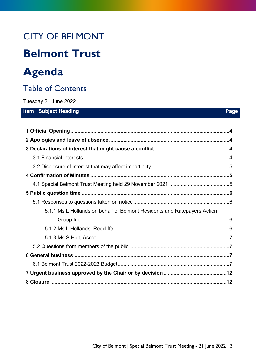# CITY OF BELMONT

# **Belmont Trust**

# **Agenda**

# Table of Contents

Tuesday 21 June 2022

#### **Item** Subject Heading **Page Page**

| 5.1.1 Ms L Hollands on behalf of Belmont Residents and Ratepayers Action |  |
|--------------------------------------------------------------------------|--|
|                                                                          |  |
|                                                                          |  |
|                                                                          |  |
|                                                                          |  |
|                                                                          |  |
|                                                                          |  |
|                                                                          |  |
|                                                                          |  |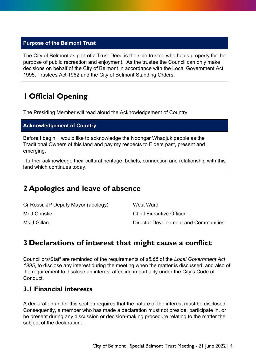#### **Purpose of the Belmont Trust**

The City of Belmont as part of a Trust Deed is the sole trustee who holds property for the purpose of public recreation and enjoyment. As the trustee the Council can only make decisions on behalf of the City of Belmont in accordance with the Local Government Act 1995, Trustees Act 1962 and the City of Belmont Standing Orders.

# <span id="page-3-0"></span>**1 Official Opening**

The Presiding Member will read aloud the Acknowledgement of Country.

#### **Acknowledgement of Country**

Before I begin, I would like to acknowledge the Noongar Whadjuk people as the Traditional Owners of this land and pay my respects to Elders past, present and emerging.

I further acknowledge their cultural heritage, beliefs, connection and relationship with this land which continues today.

### <span id="page-3-1"></span>**2 Apologies and leave of absence**

| Cr Rossi, JP Deputy Mayor (apology) | West Ward                            |
|-------------------------------------|--------------------------------------|
| Mr J Christie                       | <b>Chief Executive Officer</b>       |
| Ms J Gillan                         | Director Development and Communities |

### <span id="page-3-2"></span>**3 Declarations of interest that might cause a conflict**

Councillors/Staff are reminded of the requirements of *s5.65* of the *Local Government Act 1995*, to disclose any interest during the meeting when the matter is discussed, and also of the requirement to disclose an interest affecting impartiality under the City's Code of **Conduct** 

#### <span id="page-3-3"></span>**3.1 Financial interests**

A declaration under this section requires that the nature of the interest must be disclosed. Consequently, a member who has made a declaration must not preside, participate in, or be present during any discussion or decision-making procedure relating to the matter the subject of the declaration.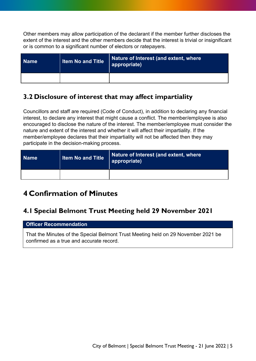Other members may allow participation of the declarant if the member further discloses the extent of the interest and the other members decide that the interest is trivial or insignificant or is common to a significant number of electors or ratepayers.

| <b>Name</b> | <b>Item No and Title</b> | Nature of Interest (and extent, where<br>appropriate) |
|-------------|--------------------------|-------------------------------------------------------|
|             |                          |                                                       |

#### <span id="page-4-0"></span>**3.2 Disclosure of interest that may affect impartiality**

Councillors and staff are required (Code of Conduct), in addition to declaring any financial interest, to declare any interest that might cause a conflict. The member/employee is also encouraged to disclose the nature of the interest. The member/employee must consider the nature and extent of the interest and whether it will affect their impartiality. If the member/employee declares that their impartiality will not be affected then they may participate in the decision-making process.

| <b>Name</b> | <b>Item No and Title</b> | Nature of Interest (and extent, where<br>  appropriate) |
|-------------|--------------------------|---------------------------------------------------------|
|             |                          |                                                         |

## <span id="page-4-1"></span>**4 Confirmation of Minutes**

#### <span id="page-4-2"></span>**4.1 Special Belmont Trust Meeting held 29 November 2021**

#### **Officer Recommendation**

That the Minutes of the Special Belmont Trust Meeting held on 29 November 2021 be confirmed as a true and accurate record.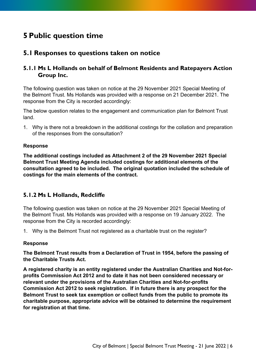## <span id="page-5-0"></span>**5 Public question time**

#### <span id="page-5-1"></span>**5.1 Responses to questions taken on notice**

#### <span id="page-5-2"></span>**5.1.1 Ms L Hollands on behalf of Belmont Residents and Ratepayers Action Group Inc.**

The following question was taken on notice at the 29 November 2021 Special Meeting of the Belmont Trust. Ms Hollands was provided with a response on 21 December 2021. The response from the City is recorded accordingly:

The below question relates to the engagement and communication plan for Belmont Trust land.

1. Why is there not a breakdown in the additional costings for the collation and preparation of the responses from the consultation?

#### **Response**

**The additional costings included as Attachment 2 of the 29 November 2021 Special Belmont Trust Meeting Agenda included costings for additional elements of the consultation agreed to be included. The original quotation included the schedule of costings for the main elements of the contract.**

#### <span id="page-5-3"></span>**5.1.2 Ms L Hollands, Redcliffe**

The following question was taken on notice at the 29 November 2021 Special Meeting of the Belmont Trust. Ms Hollands was provided with a response on 19 January 2022. The response from the City is recorded accordingly:

1. Why is the Belmont Trust not registered as a charitable trust on the register?

#### **Response**

**The Belmont Trust results from a Declaration of Trust in 1954, before the passing of the Charitable Trusts Act.** 

**A registered charity is an entity registered under the Australian Charities and Not-forprofits Commission Act 2012 and to date it has not been considered necessary or relevant under the provisions of the Australian Charities and Not-for-profits Commission Act 2012 to seek registration. If in future there is any prospect for the Belmont Trust to seek tax exemption or collect funds from the public to promote its charitable purpose, appropriate advice will be obtained to determine the requirement for registration at that time.**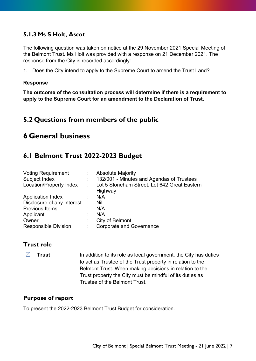#### <span id="page-6-0"></span>**5.1.3 Ms S Holt, Ascot**

The following question was taken on notice at the 29 November 2021 Special Meeting of the Belmont Trust. Ms Holt was provided with a response on 21 December 2021. The response from the City is recorded accordingly:

1. Does the City intend to apply to the Supreme Court to amend the Trust Land?

#### **Response**

**The outcome of the consultation process will determine if there is a requirement to apply to the Supreme Court for an amendment to the Declaration of Trust.**

#### <span id="page-6-1"></span>**5.2 Questions from members of the public**

### <span id="page-6-3"></span><span id="page-6-2"></span>**6 General business**

#### **6.1 Belmont Trust 2022-2023 Budget**

| <b>Voting Requirement</b>    | <b>Absolute Majority</b>                       |
|------------------------------|------------------------------------------------|
| Subject Index                | 132/001 - Minutes and Agendas of Trustees      |
| Location/Property Index      | : Lot 5 Stoneham Street, Lot 642 Great Eastern |
|                              | Highway                                        |
| <b>Application Index</b>     | N/A                                            |
| Disclosure of any Interest : | Nil                                            |
| <b>Previous Items</b>        | N/A                                            |
| Applicant                    | N/A                                            |
| Owner                        | City of Belmont                                |
| <b>Responsible Division</b>  | <b>Corporate and Governance</b>                |

#### **Trust role**

 $\boxtimes$  **Trust** In addition to its role as local government, the City has duties to act as Trustee of the Trust property in relation to the Belmont Trust. When making decisions in relation to the Trust property the City must be mindful of its duties as Trustee of the Belmont Trust.

#### **Purpose of report**

To present the 2022-2023 Belmont Trust Budget for consideration.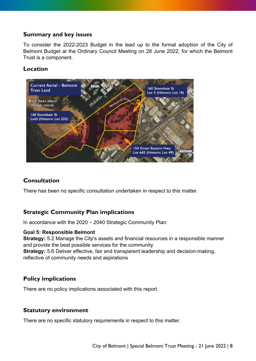#### **Summary and key issues**

To consider the 2022-2023 Budget in the lead up to the formal adoption of the City of Belmont Budget at the Ordinary Council Meeting on 28 June 2022, for which the Belmont Trust is a component.

#### **Location**



#### **Consultation**

There has been no specific consultation undertaken in respect to this matter.

#### **Strategic Community Plan implications**

In accordance with the 2020 – 2040 Strategic Community Plan:

#### **Goal 5: Responsible Belmont**

**Strategy:** 5.2 Manage the City's assets and financial resources in a responsible manner and provide the best possible services for the community **Strategy:** 5.6 Deliver effective, fair and transparent leadership and decision-making, reflective of community needs and aspirations

#### **Policy implications**

There are no policy implications associated with this report.

#### **Statutory environment**

There are no specific statutory requirements in respect to this matter.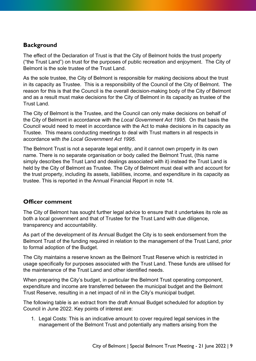#### **Background**

The effect of the Declaration of Trust is that the City of Belmont holds the trust property ("the Trust Land") on trust for the purposes of public recreation and enjoyment. The City of Belmont is the sole trustee of the Trust Land.

As the sole trustee, the City of Belmont is responsible for making decisions about the trust in its capacity as Trustee. This is a responsibility of the Council of the City of Belmont. The reason for this is that the Council is the overall decision-making body of the City of Belmont and as a result must make decisions for the City of Belmont in its capacity as trustee of the Trust Land.

The City of Belmont is the Trustee, and the Council can only make decisions on behalf of the City of Belmont in accordance with the *Local Government Act 1995*. On that basis the Council would need to meet in accordance with the Act to make decisions in its capacity as Trustee. This means conducting meetings to deal with Trust matters in all respects in accordance with *the Local Government Act 1995.*

The Belmont Trust is not a separate legal entity, and it cannot own property in its own name. There is no separate organisation or body called the Belmont Trust, (this name simply describes the Trust Land and dealings associated with it) instead the Trust Land is held by the City of Belmont as Trustee. The City of Belmont must deal with and account for the trust property, including its assets, liabilities, income, and expenditure in its capacity as trustee. This is reported in the Annual Financial Report in note 14.

#### **Officer comment**

The City of Belmont has sought further legal advice to ensure that it undertakes its role as both a local government and that of Trustee for the Trust Land with due diligence, transparency and accountability.

As part of the development of its Annual Budget the City is to seek endorsement from the Belmont Trust of the funding required in relation to the management of the Trust Land, prior to formal adoption of the Budget.

The City maintains a reserve known as the Belmont Trust Reserve which is restricted in usage specifically for purposes associated with the Trust Land. These funds are utilised for the maintenance of the Trust Land and other identified needs.

When preparing the City's budget, in particular the Belmont Trust operating component, expenditure and income are transferred between the municipal budget and the Belmont Trust Reserve, resulting in a net impact of nil in the City's municipal budget.

The following table is an extract from the draft Annual Budget scheduled for adoption by Council in June 2022. Key points of interest are:

1. Legal Costs: This is an indicative amount to cover required legal services in the management of the Belmont Trust and potentially any matters arising from the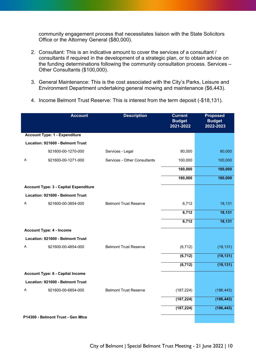community engagement process that necessitates liaison with the State Solicitors Office or the Attorney General (\$80,000).

- 2. Consultant: This is an indicative amount to cover the services of a consultant / consultants if required in the development of a strategic plan, or to obtain advice on the funding determinations following the community consultation process. Services – Other Consultants (\$100,000).
- 3. General Maintenance: This is the cost associated with the City's Parks, Leisure and Environment Department undertaking general mowing and maintenance (\$6,443).
- 4. Income Belmont Trust Reserve: This is interest from the term deposit (-\$18,131).

|   | <b>Account</b>                               | <b>Description</b>           | <b>Current</b><br><b>Budget</b><br>2021-2022 | <b>Proposed</b><br><b>Budget</b><br>2022-2023 |
|---|----------------------------------------------|------------------------------|----------------------------------------------|-----------------------------------------------|
|   | <b>Account Type: 1 - Expenditure</b>         |                              |                                              |                                               |
|   | Location: 921600 - Belmont Trust             |                              |                                              |                                               |
|   | 921600-00-1270-000                           | Services - Legal             | 80,000                                       | 80,000                                        |
| Α | 921600-00-1271-000                           | Services - Other Consultants | 100,000                                      | 100,000                                       |
|   |                                              |                              | 180,000                                      | 180,000                                       |
|   |                                              |                              | 180,000                                      | 180,000                                       |
|   | <b>Account Type: 3 - Capital Expenditure</b> |                              |                                              |                                               |
|   | Location: 921600 - Belmont Trust             |                              |                                              |                                               |
| A | 921600-00-3854-000                           | <b>Belmont Trust Reserve</b> | 6,712                                        | 18,131                                        |
|   |                                              |                              | 6,712                                        | 18,131                                        |
|   |                                              |                              | 6,712                                        | 18,131                                        |
|   | <b>Account Type: 4 - Income</b>              |                              |                                              |                                               |
|   | Location: 921600 - Belmont Trust             |                              |                                              |                                               |
| Α | 921600-00-4854-000                           | <b>Belmont Trust Reserve</b> | (6, 712)                                     | (18, 131)                                     |
|   |                                              |                              | (6, 712)                                     | (18, 131)                                     |
|   |                                              |                              | (6, 712)                                     | (18, 131)                                     |
|   | <b>Account Type: 6 - Capital Income</b>      |                              |                                              |                                               |
|   | Location: 921600 - Belmont Trust             |                              |                                              |                                               |
| Α | 921600-00-6854-000                           | <b>Belmont Trust Reserve</b> | (187, 224)                                   | (186, 443)                                    |
|   |                                              |                              | (187, 224)                                   | (186, 443)                                    |
|   |                                              |                              | (187, 224)                                   | (186, 443)                                    |
|   | P14300 - Belmont Trust - Gen Mtce            |                              |                                              |                                               |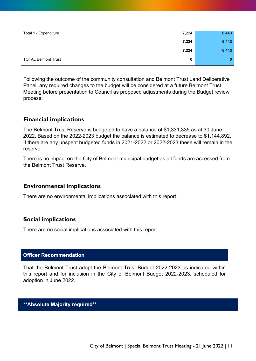| Total 1 - Expenditure      | 7,224 | 6,443 |
|----------------------------|-------|-------|
|                            | 7,224 | 6,443 |
|                            | 7,224 | 6,443 |
| <b>TOTAL Belmont Trust</b> | 0     | 0     |

Following the outcome of the community consultation and Belmont Trust Land Deliberative Panel, any required changes to the budget will be considered at a future Belmont Trust Meeting before presentation to Council as proposed adjustments during the Budget review process.

#### **Financial implications**

The Belmont Trust Reserve is budgeted to have a balance of \$1,331,335 as at 30 June 2022. Based on the 2022-2023 budget the balance is estimated to decrease to \$1,144,892. If there are any unspent budgeted funds in 2021-2022 or 2022-2023 these will remain in the reserve.

There is no impact on the City of Belmont municipal budget as all funds are accessed from the Belmont Trust Reserve.

#### **Environmental implications**

There are no environmental implications associated with this report.

#### **Social implications**

There are no social implications associated with this report.

#### **Officer Recommendation**

That the Belmont Trust adopt the Belmont Trust Budget 2022-2023 as indicated within this report and for inclusion in the City of Belmont Budget 2022-2023, scheduled for adoption in June 2022.

#### **\*\*Absolute Majority required\*\***